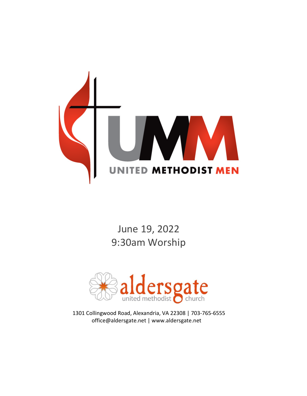

June 19, 2022 9:30am Worship



1301 Collingwood Road, Alexandria, VA 22308 | 703-765-6555 office@aldersgate.net | www.aldersgate.net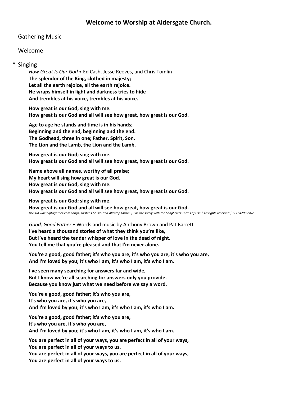# **Welcome to Worship at Aldersgate Church.**

## Gathering Music

## Welcome

## \* Singing

*How Great Is Our God* • Ed Cash, Jesse Reeves, and Chris Tomlin **The splendor of the King, clothed in majesty; Let all the earth rejoice, all the earth rejoice. He wraps himself in light and darkness tries to hide And trembles at his voice, trembles at his voice.**

**How great is our God; sing with me. How great is our God and all will see how great, how great is our God.**

**Age to age he stands and time is in his hands; Beginning and the end, beginning and the end. The Godhead, three in one; Father, Spirit, Son. The Lion and the Lamb, the Lion and the Lamb.**

**How great is our God; sing with me. How great is our God and all will see how great, how great is our God.**

**Name above all names, worthy of all praise; My heart will sing how great is our God.**

**How great is our God; sing with me.**

**How great is our God and all will see how great, how great is our God.**

**How great is our God; sing with me.**

**How great is our God and all will see how great, how great is our God.** *©2004 worshiptogether.com songs, sixsteps Music, and Alletrop Music. | For use solely with the SongSelect Terms of Use | All rights reserved | CCLI #2987967*

*Good, Good Father* • Words and music by Anthony Brown and Pat Barrett **I've heard a thousand stories of what they think you're like, But I've heard the tender whisper of love in the dead of night. You tell me that you're pleased and that I'm never alone.**

**You're a good, good father; it's who you are, it's who you are, it's who you are, And I'm loved by you; it's who I am, it's who I am, it's who I am.**

**I've seen many searching for answers far and wide, But I know we're all searching for answers only you provide. Because you know just what we need before we say a word.**

**You're a good, good father; it's who you are, It's who you are, it's who you are, And I'm loved by you; it's who I am, it's who I am, it's who I am.**

**You're a good, good father; it's who you are, It's who you are, it's who you are, And I'm loved by you; it's who I am, it's who I am, it's who I am.**

**You are perfect in all of your ways, you are perfect in all of your ways, You are perfect in all of your ways to us.**

**You are perfect in all of your ways, you are perfect in all of your ways, You are perfect in all of your ways to us.**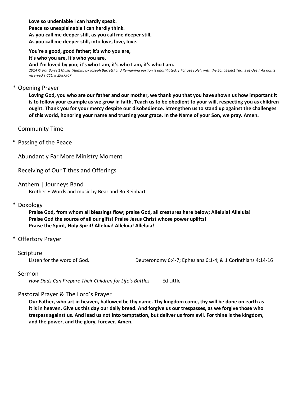**Love so undeniable I can hardly speak. Peace so unexplainable I can hardly think. As you call me deeper still, as you call me deeper still, As you call me deeper still, into love, love, love.**

**You're a good, good father; it's who you are, It's who you are, it's who you are, And I'm loved by you; it's who I am, it's who I am, it's who I am.** 2014 © Pat Barrett Music (Admin. by Joseph Barrett) and Remaining portion is unaffiliated. | For use solely with the SongSelect Terms of Use | All rights *reserved | CCLI # 2987967*

## \* Opening Prayer

**Loving God, you who are our father and our mother, we thank you that you have shown us how important it is to follow your example as we grow in faith. Teach us to be obedient to your will, respecting you as children ought. Thank you for your mercy despite our disobedience. Strengthen us to stand up against the challenges of this world, honoring your name and trusting your grace. In the Name of your Son, we pray. Amen.**

Community Time

\* Passing of the Peace

Abundantly Far More Ministry Moment

Receiving of Our Tithes and Offerings

Anthem | Journeys Band Brother • Words and music by Bear and Bo Reinhart

\* Doxology

**Praise God, from whom all blessings flow; praise God, all creatures here below; Alleluia! Alleluia! Praise God the source of all our gifts! Praise Jesus Christ whose power uplifts! Praise the Spirit, Holy Spirit! Alleluia! Alleluia! Alleluia!**

\* Offertory Prayer

#### Scripture

Listen for the word of God. Deuteronomy 6:4-7; Ephesians 6:1-4; & 1 Corinthians 4:14-16

#### Sermon

*How Dads Can Prepare Their Children for Life's Battles* Ed Little

#### Pastoral Prayer & The Lord's Prayer

**Our Father, who art in heaven, hallowed be thy name. Thy kingdom come, thy will be done on earth as it is in heaven. Give us this day our daily bread. And forgive us our trespasses, as we forgive those who trespass against us. And lead us not into temptation, but deliver us from evil. For thine is the kingdom, and the power, and the glory, forever. Amen.**